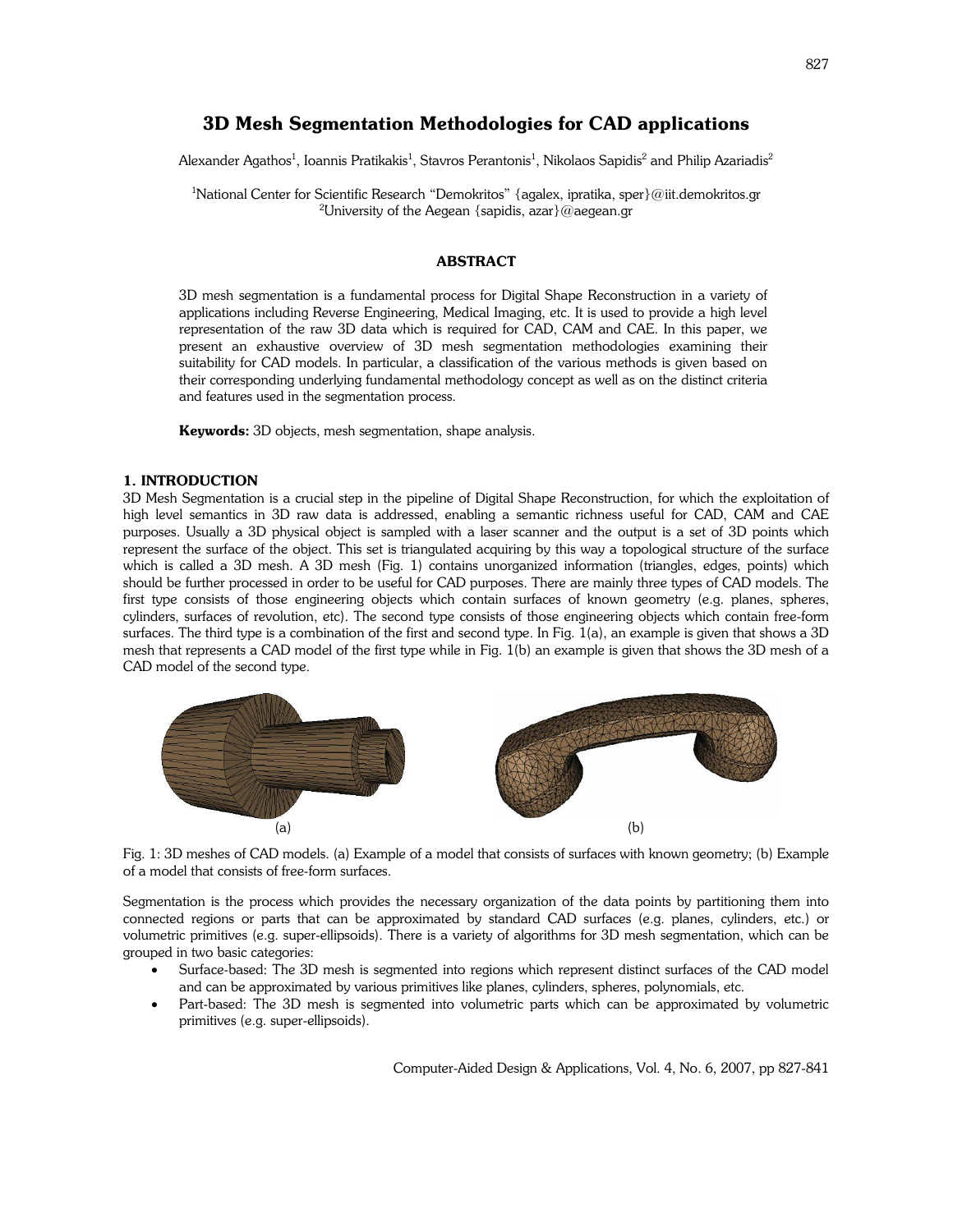# 3D Mesh Segmentation Methodologies for CAD applications

Alexander Agathos<sup>1</sup>, Ioannis Pratikakis<sup>1</sup>, Stavros Perantonis<sup>1</sup>, Nikolaos Sapidis<sup>2</sup> and Philip Azariadis<sup>2</sup>

<sup>1</sup>National Center for Scientific Research "Demokritos" {agalex, ipratika, sper}@iit.demokritos.gr <sup>2</sup>University of the Aegean {sapidis, azar}@aegean.gr

# **ABSTRACT**

3D mesh segmentation is a fundamental process for Digital Shape Reconstruction in a variety of applications including Reverse Engineering, Medical Imaging, etc. It is used to provide a high level representation of the raw 3D data which is required for CAD, CAM and CAE. In this paper, we present an exhaustive overview of 3D mesh segmentation methodologies examining their suitability for CAD models. In particular, a classification of the various methods is given based on their corresponding underlying fundamental methodology concept as well as on the distinct criteria and features used in the segmentation process.

Keywords: 3D objects, mesh segmentation, shape analysis.

### 1. INTRODUCTION

3D Mesh Segmentation is a crucial step in the pipeline of Digital Shape Reconstruction, for which the exploitation of high level semantics in 3D raw data is addressed, enabling a semantic richness useful for CAD, CAM and CAE purposes. Usually a 3D physical object is sampled with a laser scanner and the output is a set of 3D points which represent the surface of the object. This set is triangulated acquiring by this way a topological structure of the surface which is called a 3D mesh. A 3D mesh (Fig. 1) contains unorganized information (triangles, edges, points) which should be further processed in order to be useful for CAD purposes. There are mainly three types of CAD models. The first type consists of those engineering objects which contain surfaces of known geometry (e.g. planes, spheres, cylinders, surfaces of revolution, etc). The second type consists of those engineering objects which contain free-form surfaces. The third type is a combination of the first and second type. In Fig. 1(a), an example is given that shows a 3D mesh that represents a CAD model of the first type while in Fig. 1(b) an example is given that shows the 3D mesh of a CAD model of the second type.



Fig. 1: 3D meshes of CAD models. (a) Example of a model that consists of surfaces with known geometry; (b) Example of a model that consists of free-form surfaces.

Segmentation is the process which provides the necessary organization of the data points by partitioning them into connected regions or parts that can be approximated by standard CAD surfaces (e.g. planes, cylinders, etc.) or volumetric primitives (e.g. super-ellipsoids). There is a variety of algorithms for 3D mesh segmentation, which can be grouped in two basic categories:

- Surface-based: The 3D mesh is segmented into regions which represent distinct surfaces of the CAD model and can be approximated by various primitives like planes, cylinders, spheres, polynomials, etc.
- Part-based: The 3D mesh is segmented into volumetric parts which can be approximated by volumetric primitives (e.g. super-ellipsoids).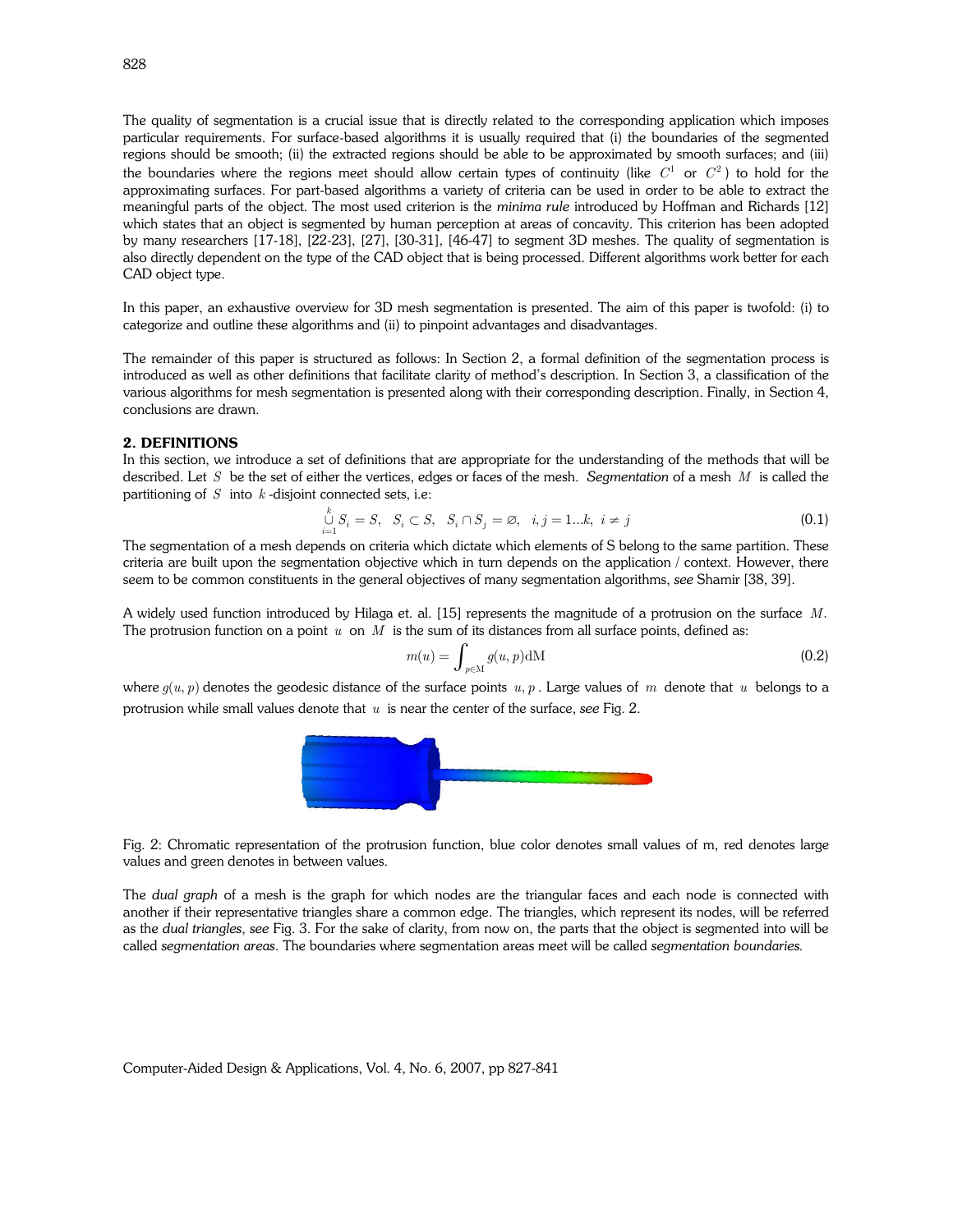828

The quality of segmentation is a crucial issue that is directly related to the corresponding application which imposes particular requirements. For surface-based algorithms it is usually required that (i) the boundaries of the segmented regions should be smooth; (ii) the extracted regions should be able to be approximated by smooth surfaces; and (iii) the boundaries where the regions meet should allow certain types of continuity (like  $C^1$  or  $C^2$ ) to hold for the approximating surfaces. For part-based algorithms a variety of criteria can be used in order to be able to extract the meaningful parts of the object. The most used criterion is the minima rule introduced by Hoffman and Richards [12] which states that an object is segmented by human perception at areas of concavity. This criterion has been adopted by many researchers [17-18], [22-23], [27], [30-31], [46-47] to segment 3D meshes. The quality of segmentation is also directly dependent on the type of the CAD object that is being processed. Different algorithms work better for each CAD object type.

In this paper, an exhaustive overview for 3D mesh segmentation is presented. The aim of this paper is twofold: (i) to categorize and outline these algorithms and (ii) to pinpoint advantages and disadvantages.

The remainder of this paper is structured as follows: In Section 2, a formal definition of the segmentation process is introduced as well as other definitions that facilitate clarity of method's description. In Section 3, a classification of the various algorithms for mesh segmentation is presented along with their corresponding description. Finally, in Section 4, conclusions are drawn.

#### 2. DEFINITIONS

In this section, we introduce a set of definitions that are appropriate for the understanding of the methods that will be described. Let S be the set of either the vertices, edges or faces of the mesh. Segmentation of a mesh  $M$  is called the partitioning of  $S$  into  $k$ -disjoint connected sets, i.e:

$$
\bigcup_{i=1}^{k} S_i = S, \quad S_i \subset S, \quad S_i \cap S_j = \emptyset, \quad i, j = 1...k, \quad i \neq j \tag{0.1}
$$

The segmentation of a mesh depends on criteria which dictate which elements of S belong to the same partition. These criteria are built upon the segmentation objective which in turn depends on the application / context. However, there seem to be common constituents in the general objectives of many segmentation algorithms, see Shamir [38, 39].

A widely used function introduced by Hilaga et. al. [15] represents the magnitude of a protrusion on the surface M. The protrusion function on a point  $u$  on  $M$  is the sum of its distances from all surface points, defined as:

$$
m(u) = \int_{p \in \mathcal{M}} g(u, p) d\mathcal{M}
$$
 (0.2)

where  $g(u, p)$  denotes the geodesic distance of the surface points u, p. Large values of m denote that u belongs to a protrusion while small values denote that  $u$  is near the center of the surface, see Fig. 2.



Fig. 2: Chromatic representation of the protrusion function, blue color denotes small values of m, red denotes large values and green denotes in between values.

The dual graph of a mesh is the graph for which nodes are the triangular faces and each node is connected with another if their representative triangles share a common edge. The triangles, which represent its nodes, will be referred as the dual triangles, see Fig. 3. For the sake of clarity, from now on, the parts that the object is segmented into will be called segmentation areas. The boundaries where segmentation areas meet will be called segmentation boundaries.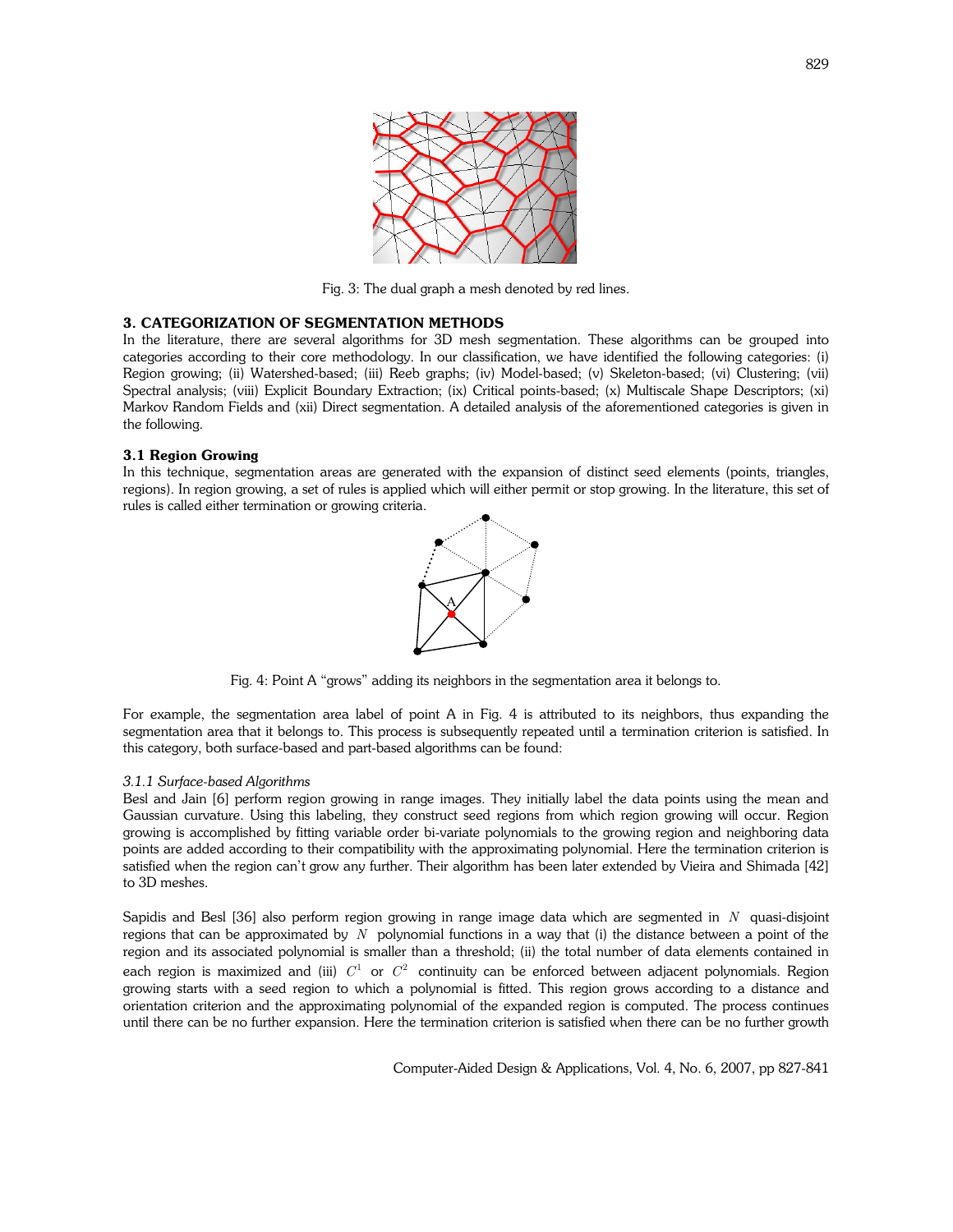

Fig. 3: The dual graph a mesh denoted by red lines.

### 3. CATEGORIZATION OF SEGMENTATION METHODS

In the literature, there are several algorithms for 3D mesh segmentation. These algorithms can be grouped into categories according to their core methodology. In our classification, we have identified the following categories: (i) Region growing; (ii) Watershed-based; (iii) Reeb graphs; (iv) Model-based; (v) Skeleton-based; (vi) Clustering; (vii) Spectral analysis; (viii) Explicit Boundary Extraction; (ix) Critical points-based; (x) Multiscale Shape Descriptors; (xi) Markov Random Fields and (xii) Direct segmentation. A detailed analysis of the aforementioned categories is given in the following.

#### 3.1 Region Growing

In this technique, segmentation areas are generated with the expansion of distinct seed elements (points, triangles, regions). In region growing, a set of rules is applied which will either permit or stop growing. In the literature, this set of rules is called either termination or growing criteria.



Fig. 4: Point A "grows" adding its neighbors in the segmentation area it belongs to.

For example, the segmentation area label of point A in Fig. 4 is attributed to its neighbors, thus expanding the segmentation area that it belongs to. This process is subsequently repeated until a termination criterion is satisfied. In this category, both surface-based and part-based algorithms can be found:

#### 3.1.1 Surface-based Algorithms

Besl and Jain [6] perform region growing in range images. They initially label the data points using the mean and Gaussian curvature. Using this labeling, they construct seed regions from which region growing will occur. Region growing is accomplished by fitting variable order bi-variate polynomials to the growing region and neighboring data points are added according to their compatibility with the approximating polynomial. Here the termination criterion is satisfied when the region can't grow any further. Their algorithm has been later extended by Vieira and Shimada [42] to 3D meshes.

Sapidis and Besl [36] also perform region growing in range image data which are segmented in  $N$  quasi-disjoint regions that can be approximated by  $N$  polynomial functions in a way that (i) the distance between a point of the region and its associated polynomial is smaller than a threshold; (ii) the total number of data elements contained in each region is maximized and (iii)  $C^1$  or  $C^2$  continuity can be enforced between adjacent polynomials. Region growing starts with a seed region to which a polynomial is fitted. This region grows according to a distance and orientation criterion and the approximating polynomial of the expanded region is computed. The process continues until there can be no further expansion. Here the termination criterion is satisfied when there can be no further growth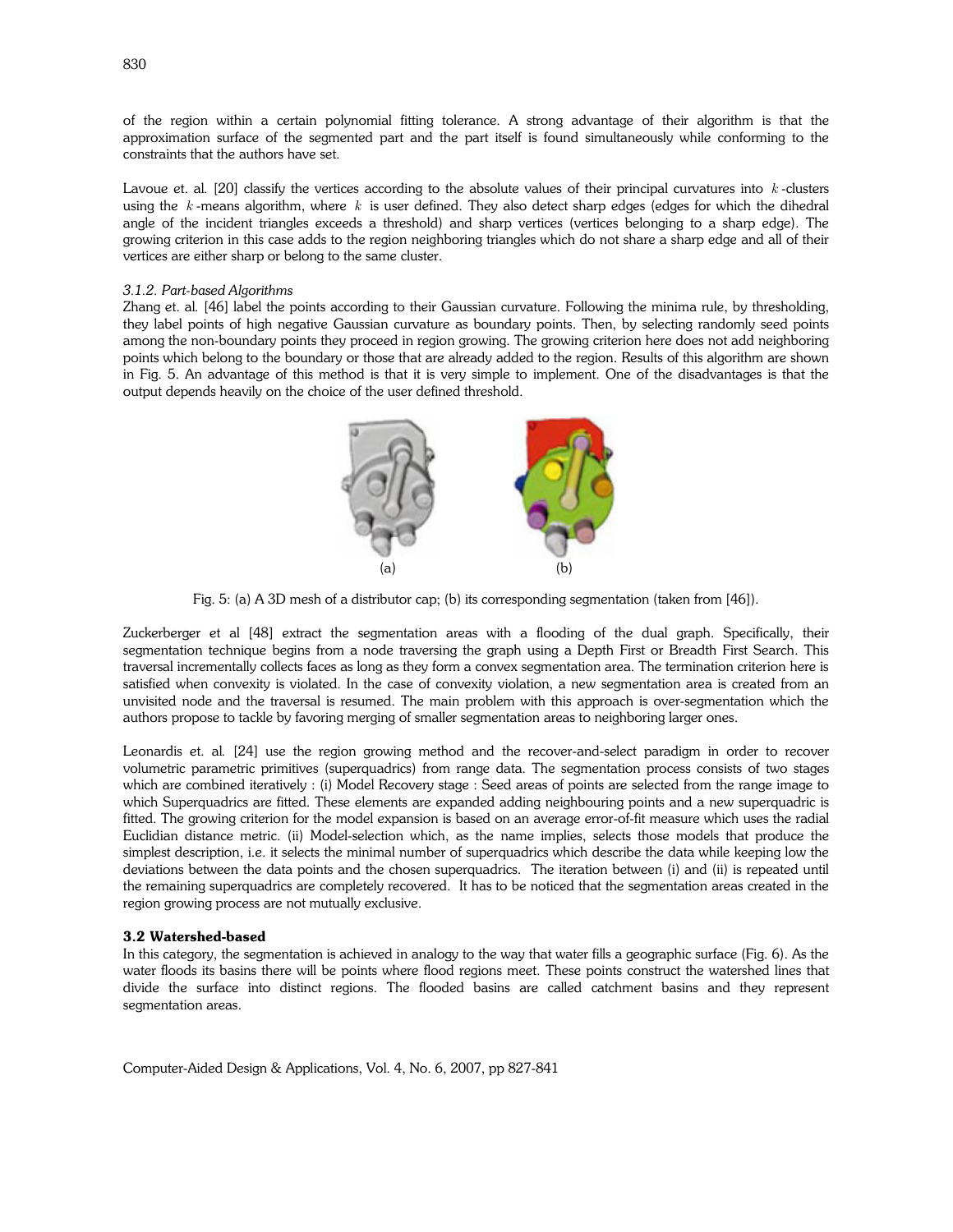of the region within a certain polynomial fitting tolerance. A strong advantage of their algorithm is that the approximation surface of the segmented part and the part itself is found simultaneously while conforming to the constraints that the authors have set.

Lavoue et. al. [20] classify the vertices according to the absolute values of their principal curvatures into  $k$ -clusters using the  $k$ -means algorithm, where  $k$  is user defined. They also detect sharp edges (edges for which the dihedral angle of the incident triangles exceeds a threshold) and sharp vertices (vertices belonging to a sharp edge). The growing criterion in this case adds to the region neighboring triangles which do not share a sharp edge and all of their vertices are either sharp or belong to the same cluster.

### 3.1.2. Part-based Algorithms

Zhang et. al. [46] label the points according to their Gaussian curvature. Following the minima rule, by thresholding, they label points of high negative Gaussian curvature as boundary points. Then, by selecting randomly seed points among the non-boundary points they proceed in region growing. The growing criterion here does not add neighboring points which belong to the boundary or those that are already added to the region. Results of this algorithm are shown in Fig. 5. An advantage of this method is that it is very simple to implement. One of the disadvantages is that the output depends heavily on the choice of the user defined threshold.



Fig. 5: (a) A 3D mesh of a distributor cap; (b) its corresponding segmentation (taken from [46]).

Zuckerberger et al [48] extract the segmentation areas with a flooding of the dual graph. Specifically, their segmentation technique begins from a node traversing the graph using a Depth First or Breadth First Search. This traversal incrementally collects faces as long as they form a convex segmentation area. The termination criterion here is satisfied when convexity is violated. In the case of convexity violation, a new segmentation area is created from an unvisited node and the traversal is resumed. The main problem with this approach is over-segmentation which the authors propose to tackle by favoring merging of smaller segmentation areas to neighboring larger ones.

Leonardis et. al. [24] use the region growing method and the recover-and-select paradigm in order to recover volumetric parametric primitives (superquadrics) from range data. The segmentation process consists of two stages which are combined iteratively : (i) Model Recovery stage : Seed areas of points are selected from the range image to which Superquadrics are fitted. These elements are expanded adding neighbouring points and a new superquadric is fitted. The growing criterion for the model expansion is based on an average error-of-fit measure which uses the radial Euclidian distance metric. (ii) Model-selection which, as the name implies, selects those models that produce the simplest description, i.e. it selects the minimal number of superquadrics which describe the data while keeping low the deviations between the data points and the chosen superquadrics. The iteration between (i) and (ii) is repeated until the remaining superquadrics are completely recovered. It has to be noticed that the segmentation areas created in the region growing process are not mutually exclusive.

# 3.2 Watershed-based

In this category, the segmentation is achieved in analogy to the way that water fills a geographic surface (Fig. 6). As the water floods its basins there will be points where flood regions meet. These points construct the watershed lines that divide the surface into distinct regions. The flooded basins are called catchment basins and they represent segmentation areas.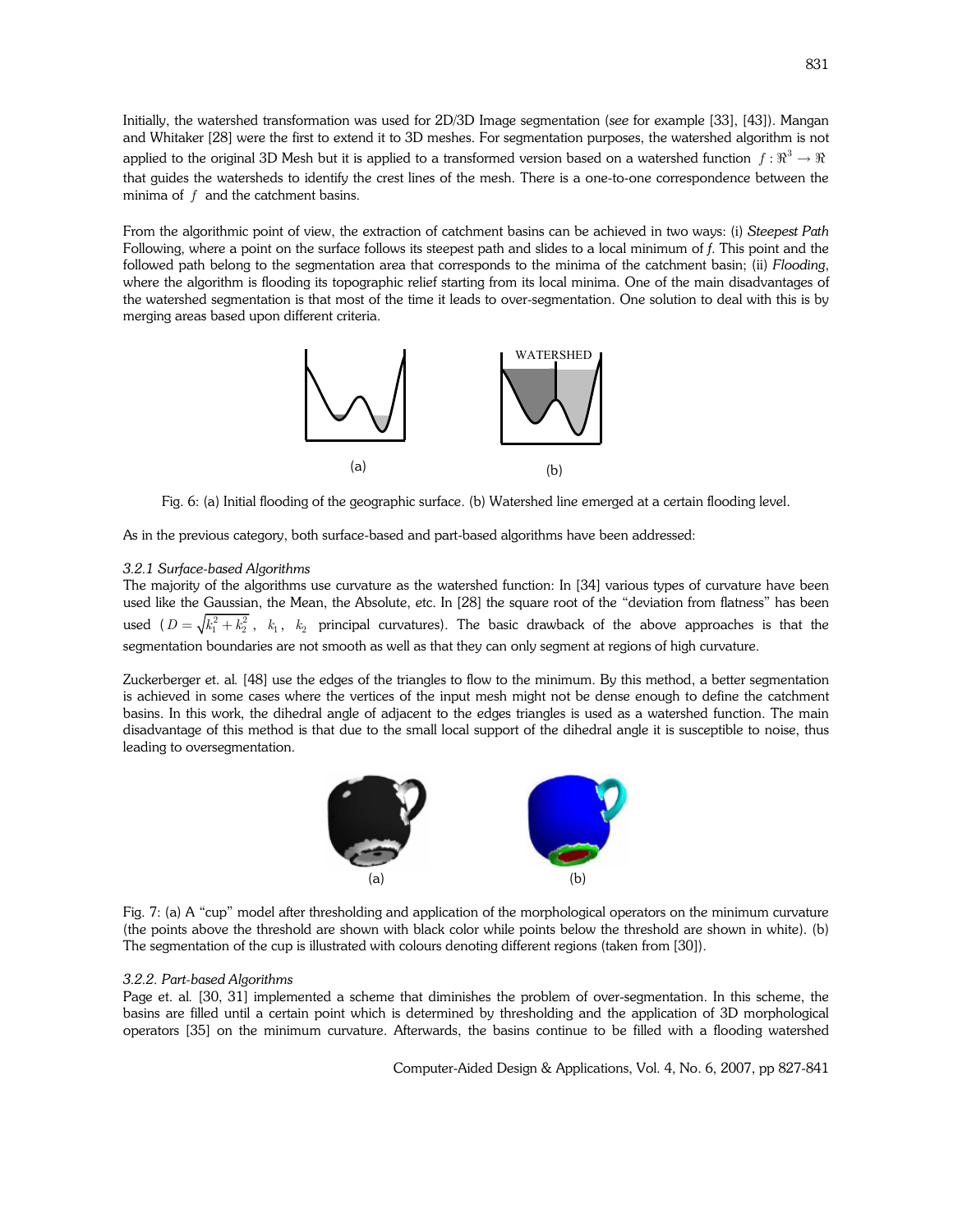Initially, the watershed transformation was used for 2D/3D Image segmentation (see for example [33], [43]). Mangan and Whitaker [28] were the first to extend it to 3D meshes. For segmentation purposes, the watershed algorithm is not applied to the original 3D Mesh but it is applied to a transformed version based on a watershed function  $f:\real^3\to \real$ that guides the watersheds to identify the crest lines of the mesh. There is a one-to-one correspondence between the minima of  $f$  and the catchment basins.

From the algorithmic point of view, the extraction of catchment basins can be achieved in two ways: (i) Steepest Path Following, where a point on the surface follows its steepest path and slides to a local minimum of f. This point and the followed path belong to the segmentation area that corresponds to the minima of the catchment basin; (ii) Flooding, where the algorithm is flooding its topographic relief starting from its local minima. One of the main disadvantages of the watershed segmentation is that most of the time it leads to over-segmentation. One solution to deal with this is by merging areas based upon different criteria.



Fig. 6: (a) Initial flooding of the geographic surface. (b) Watershed line emerged at a certain flooding level.

As in the previous category, both surface-based and part-based algorithms have been addressed:

#### 3.2.1 Surface-based Algorithms

The majority of the algorithms use curvature as the watershed function: In [34] various types of curvature have been used like the Gaussian, the Mean, the Absolute, etc. In [28] the square root of the "deviation from flatness" has been used (  $D=\sqrt{k_1^2+k_2^2}$  ,  $k_1$  ,  $k_2$  principal curvatures). The basic drawback of the above approaches is that the segmentation boundaries are not smooth as well as that they can only segment at regions of high curvature.

Zuckerberger et. al. [48] use the edges of the triangles to flow to the minimum. By this method, a better segmentation is achieved in some cases where the vertices of the input mesh might not be dense enough to define the catchment basins. In this work, the dihedral angle of adjacent to the edges triangles is used as a watershed function. The main disadvantage of this method is that due to the small local support of the dihedral angle it is susceptible to noise, thus leading to oversegmentation.



Fig. 7: (a) A "cup" model after thresholding and application of the morphological operators on the minimum curvature (the points above the threshold are shown with black color while points below the threshold are shown in white). (b) The segmentation of the cup is illustrated with colours denoting different regions (taken from [30]).

#### 3.2.2. Part-based Algorithms

Page et. al. [30, 31] implemented a scheme that diminishes the problem of over-segmentation. In this scheme, the basins are filled until a certain point which is determined by thresholding and the application of 3D morphological operators [35] on the minimum curvature. Afterwards, the basins continue to be filled with a flooding watershed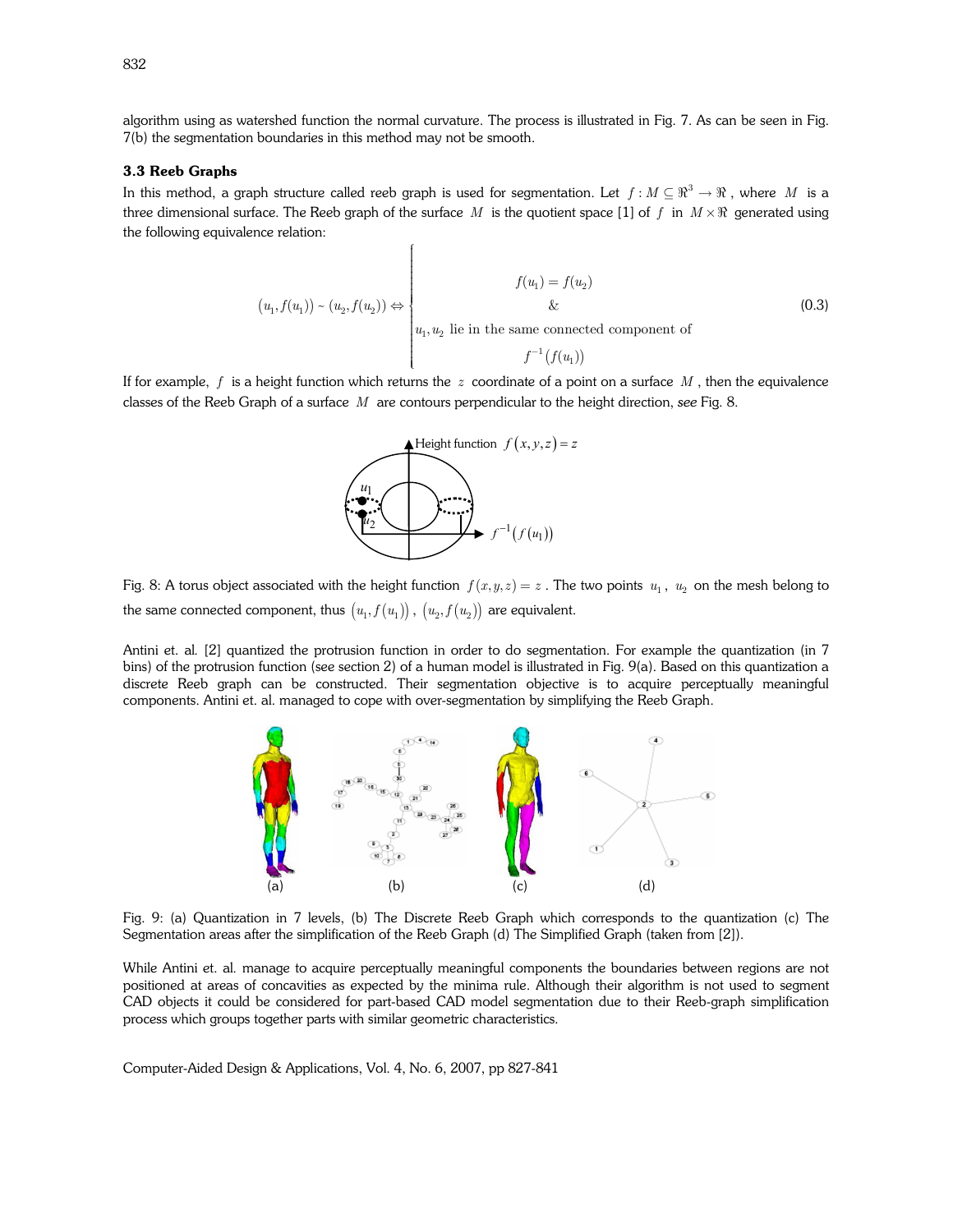algorithm using as watershed function the normal curvature. The process is illustrated in Fig. 7. As can be seen in Fig. 7(b) the segmentation boundaries in this method may not be smooth.

#### 3.3 Reeb Graphs

In this method, a graph structure called reeb graph is used for segmentation. Let  $f: M\subseteq \real^3\to \real$  , where  $M$  is a three dimensional surface. The Reeb graph of the surface M is the quotient space [1] of f in  $M \times \mathbb{R}$  generated using the following equivalence relation:

$$
(u_1, f(u_1)) \sim (u_2, f(u_2)) \Leftrightarrow \begin{cases} f(u_1) = f(u_2) \\ & \& \\ u_1, u_2 \text{ lie in the same connected component of} \\ & f^{-1}(f(u_1)) \end{cases} \tag{0.3}
$$

If for example, f is a height function which returns the z coordinate of a point on a surface  $M$ , then the equivalence classes of the Reeb Graph of a surface  $M$  are contours perpendicular to the height direction, see Fig. 8.



Fig. 8: A torus object associated with the height function  $f(x,y,z)=z$  . The two points  $u_1, u_2$  on the mesh belong to the same connected component, thus  $(u_1, f(u_1))$ ,  $(u_2, f(u_2))$  are equivalent.

Antini et. al. [2] quantized the protrusion function in order to do segmentation. For example the quantization (in 7 bins) of the protrusion function (see section 2) of a human model is illustrated in Fig. 9(a). Based on this quantization a discrete Reeb graph can be constructed. Their segmentation objective is to acquire perceptually meaningful components. Antini et. al. managed to cope with over-segmentation by simplifying the Reeb Graph.



Fig. 9: (a) Quantization in 7 levels, (b) The Discrete Reeb Graph which corresponds to the quantization (c) The Segmentation areas after the simplification of the Reeb Graph (d) The Simplified Graph (taken from [2]).

While Antini et. al. manage to acquire perceptually meaningful components the boundaries between regions are not positioned at areas of concavities as expected by the minima rule. Although their algorithm is not used to segment CAD objects it could be considered for part-based CAD model segmentation due to their Reeb-graph simplification process which groups together parts with similar geometric characteristics.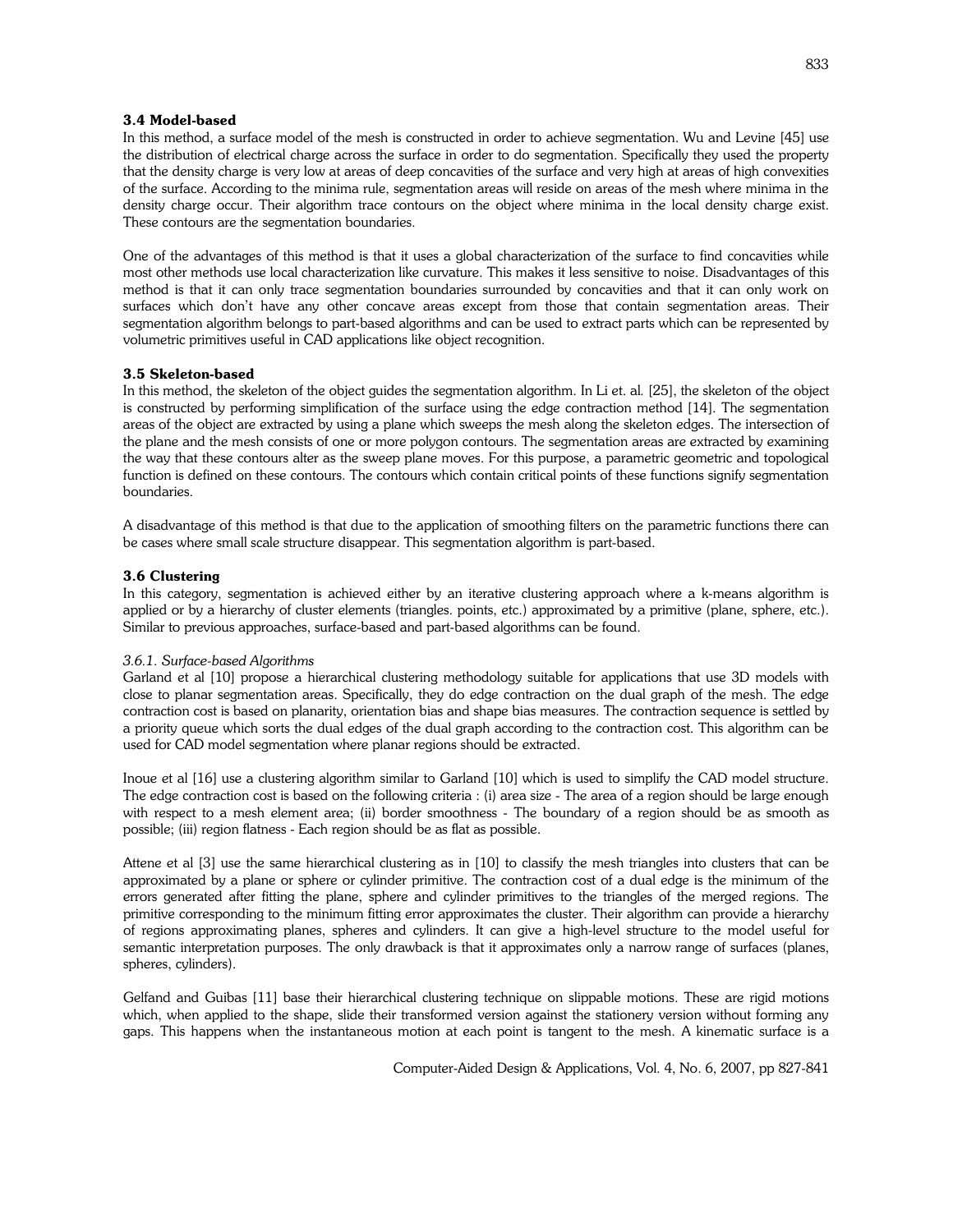# 3.4 Model-based

In this method, a surface model of the mesh is constructed in order to achieve segmentation. Wu and Levine [45] use the distribution of electrical charge across the surface in order to do segmentation. Specifically they used the property that the density charge is very low at areas of deep concavities of the surface and very high at areas of high convexities of the surface. According to the minima rule, segmentation areas will reside on areas of the mesh where minima in the density charge occur. Their algorithm trace contours on the object where minima in the local density charge exist. These contours are the segmentation boundaries.

One of the advantages of this method is that it uses a global characterization of the surface to find concavities while most other methods use local characterization like curvature. This makes it less sensitive to noise. Disadvantages of this method is that it can only trace segmentation boundaries surrounded by concavities and that it can only work on surfaces which don't have any other concave areas except from those that contain segmentation areas. Their segmentation algorithm belongs to part-based algorithms and can be used to extract parts which can be represented by volumetric primitives useful in CAD applications like object recognition.

#### 3.5 Skeleton-based

In this method, the skeleton of the object guides the segmentation algorithm. In Li et. al. [25], the skeleton of the object is constructed by performing simplification of the surface using the edge contraction method [14]. The segmentation areas of the object are extracted by using a plane which sweeps the mesh along the skeleton edges. The intersection of the plane and the mesh consists of one or more polygon contours. The segmentation areas are extracted by examining the way that these contours alter as the sweep plane moves. For this purpose, a parametric geometric and topological function is defined on these contours. The contours which contain critical points of these functions signify segmentation boundaries.

A disadvantage of this method is that due to the application of smoothing filters on the parametric functions there can be cases where small scale structure disappear. This segmentation algorithm is part-based.

#### 3.6 Clustering

In this category, segmentation is achieved either by an iterative clustering approach where a k-means algorithm is applied or by a hierarchy of cluster elements (triangles. points, etc.) approximated by a primitive (plane, sphere, etc.). Similar to previous approaches, surface-based and part-based algorithms can be found.

#### 3.6.1. Surface-based Algorithms

Garland et al [10] propose a hierarchical clustering methodology suitable for applications that use 3D models with close to planar segmentation areas. Specifically, they do edge contraction on the dual graph of the mesh. The edge contraction cost is based on planarity, orientation bias and shape bias measures. The contraction sequence is settled by a priority queue which sorts the dual edges of the dual graph according to the contraction cost. This algorithm can be used for CAD model segmentation where planar regions should be extracted.

Inoue et al [16] use a clustering algorithm similar to Garland [10] which is used to simplify the CAD model structure. The edge contraction cost is based on the following criteria : (i) area size - The area of a region should be large enough with respect to a mesh element area; (ii) border smoothness - The boundary of a region should be as smooth as possible; (iii) region flatness - Each region should be as flat as possible.

Attene et al [3] use the same hierarchical clustering as in [10] to classify the mesh triangles into clusters that can be approximated by a plane or sphere or cylinder primitive. The contraction cost of a dual edge is the minimum of the errors generated after fitting the plane, sphere and cylinder primitives to the triangles of the merged regions. The primitive corresponding to the minimum fitting error approximates the cluster. Their algorithm can provide a hierarchy of regions approximating planes, spheres and cylinders. It can give a high-level structure to the model useful for semantic interpretation purposes. The only drawback is that it approximates only a narrow range of surfaces (planes, spheres, cylinders).

Gelfand and Guibas [11] base their hierarchical clustering technique on slippable motions. These are rigid motions which, when applied to the shape, slide their transformed version against the stationery version without forming any gaps. This happens when the instantaneous motion at each point is tangent to the mesh. A kinematic surface is a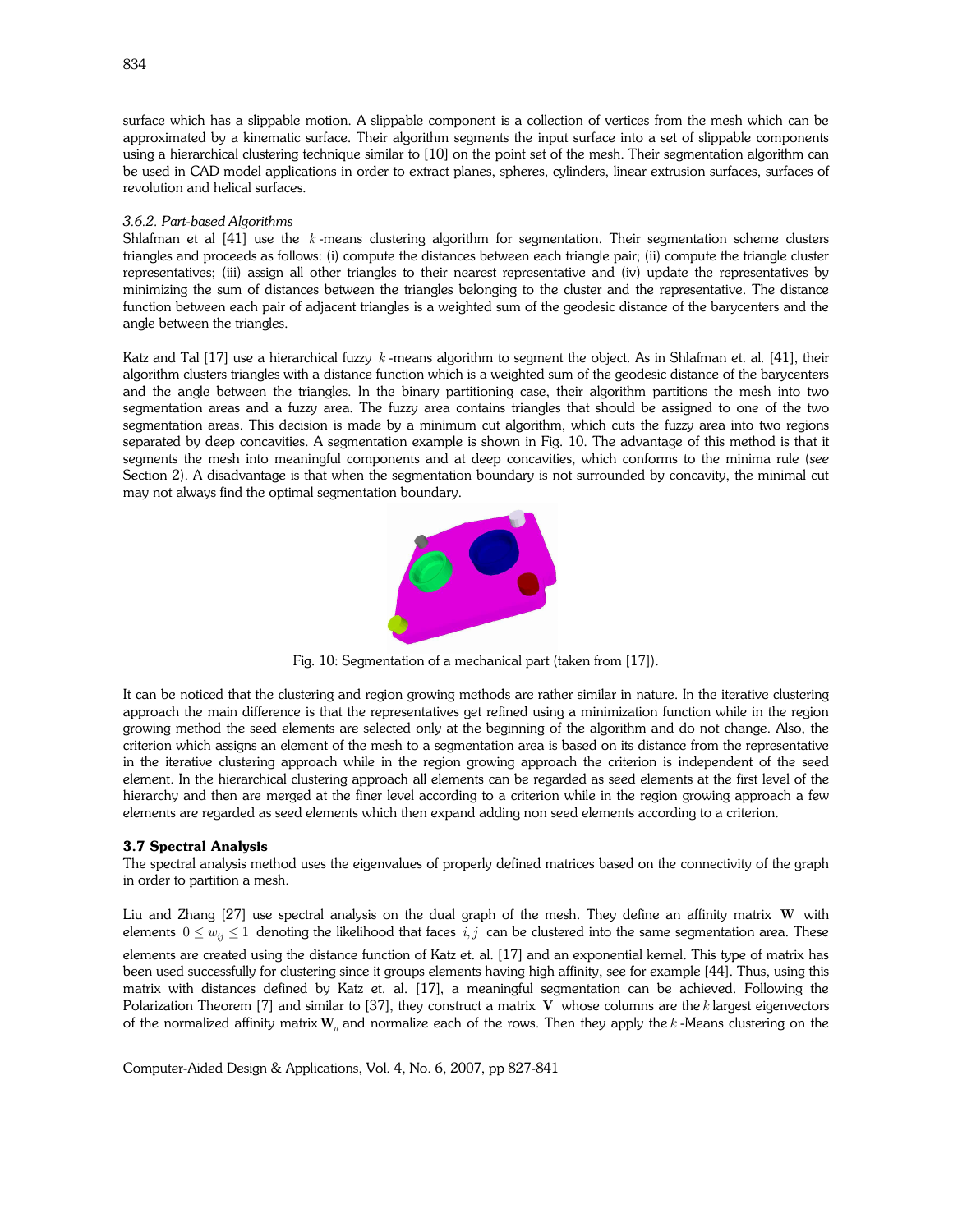surface which has a slippable motion. A slippable component is a collection of vertices from the mesh which can be approximated by a kinematic surface. Their algorithm segments the input surface into a set of slippable components using a hierarchical clustering technique similar to [10] on the point set of the mesh. Their segmentation algorithm can be used in CAD model applications in order to extract planes, spheres, cylinders, linear extrusion surfaces, surfaces of revolution and helical surfaces.

#### 3.6.2. Part-based Algorithms

Shlafman et al  $[41]$  use the  $k$ -means clustering algorithm for segmentation. Their segmentation scheme clusters triangles and proceeds as follows: (i) compute the distances between each triangle pair; (ii) compute the triangle cluster representatives; (iii) assign all other triangles to their nearest representative and (iv) update the representatives by minimizing the sum of distances between the triangles belonging to the cluster and the representative. The distance function between each pair of adjacent triangles is a weighted sum of the geodesic distance of the barycenters and the angle between the triangles.

Katz and Tal  $[17]$  use a hierarchical fuzzy k -means algorithm to segment the object. As in Shlafman et. al.  $[41]$ , their algorithm clusters triangles with a distance function which is a weighted sum of the geodesic distance of the barycenters and the angle between the triangles. In the binary partitioning case, their algorithm partitions the mesh into two segmentation areas and a fuzzy area. The fuzzy area contains triangles that should be assigned to one of the two segmentation areas. This decision is made by a minimum cut algorithm, which cuts the fuzzy area into two regions separated by deep concavities. A segmentation example is shown in Fig. 10. The advantage of this method is that it segments the mesh into meaningful components and at deep concavities, which conforms to the minima rule (see Section 2). A disadvantage is that when the segmentation boundary is not surrounded by concavity, the minimal cut may not always find the optimal segmentation boundary.



Fig. 10: Segmentation of a mechanical part (taken from [17]).

It can be noticed that the clustering and region growing methods are rather similar in nature. In the iterative clustering approach the main difference is that the representatives get refined using a minimization function while in the region growing method the seed elements are selected only at the beginning of the algorithm and do not change. Also, the criterion which assigns an element of the mesh to a segmentation area is based on its distance from the representative in the iterative clustering approach while in the region growing approach the criterion is independent of the seed element. In the hierarchical clustering approach all elements can be regarded as seed elements at the first level of the hierarchy and then are merged at the finer level according to a criterion while in the region growing approach a few elements are regarded as seed elements which then expand adding non seed elements according to a criterion.

#### 3.7 Spectral Analysis

The spectral analysis method uses the eigenvalues of properly defined matrices based on the connectivity of the graph in order to partition a mesh.

Liu and Zhang [27] use spectral analysis on the dual graph of the mesh. They define an affinity matrix W with elements  $0 \le w_{ij} \le 1$  denoting the likelihood that faces  $i, j$  can be clustered into the same segmentation area. These elements are created using the distance function of Katz et. al. [17] and an exponential kernel. This type of matrix has been used successfully for clustering since it groups elements having high affinity, see for example [44]. Thus, using this matrix with distances defined by Katz et. al. [17], a meaningful segmentation can be achieved. Following the Polarization Theorem [7] and similar to [37], they construct a matrix V whose columns are the  $k$  largest eigenvectors of the normalized affinity matrix  $W_n$  and normalize each of the rows. Then they apply the k-Means clustering on the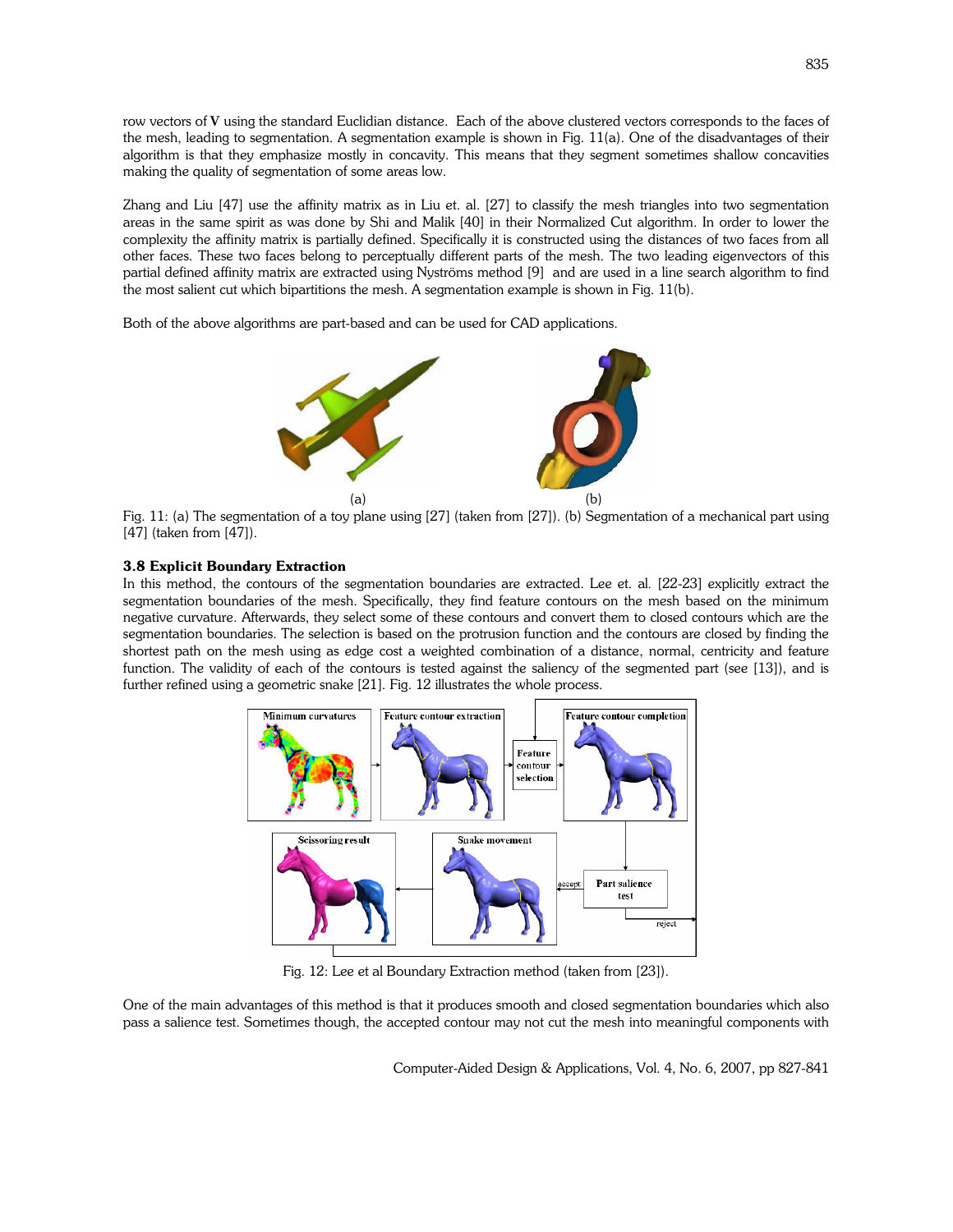row vectors of V using the standard Euclidian distance. Each of the above clustered vectors corresponds to the faces of the mesh, leading to segmentation. A segmentation example is shown in Fig. 11(a). One of the disadvantages of their algorithm is that they emphasize mostly in concavity. This means that they segment sometimes shallow concavities making the quality of segmentation of some areas low.

Zhang and Liu [47] use the affinity matrix as in Liu et. al. [27] to classify the mesh triangles into two segmentation areas in the same spirit as was done by Shi and Malik [40] in their Normalized Cut algorithm. In order to lower the complexity the affinity matrix is partially defined. Specifically it is constructed using the distances of two faces from all other faces. These two faces belong to perceptually different parts of the mesh. The two leading eigenvectors of this partial defined affinity matrix are extracted using Nyströms method [9] and are used in a line search algorithm to find the most salient cut which bipartitions the mesh. A segmentation example is shown in Fig. 11(b).

Both of the above algorithms are part-based and can be used for CAD applications.



Fig. 11: (a) The segmentation of a toy plane using [27] (taken from [27]). (b) Segmentation of a mechanical part using [47] (taken from [47]).

### 3.8 Explicit Boundary Extraction

In this method, the contours of the segmentation boundaries are extracted. Lee et. al. [22-23] explicitly extract the segmentation boundaries of the mesh. Specifically, they find feature contours on the mesh based on the minimum negative curvature. Afterwards, they select some of these contours and convert them to closed contours which are the segmentation boundaries. The selection is based on the protrusion function and the contours are closed by finding the shortest path on the mesh using as edge cost a weighted combination of a distance, normal, centricity and feature function. The validity of each of the contours is tested against the saliency of the segmented part (see [13]), and is further refined using a geometric snake [21]. Fig. 12 illustrates the whole process.



Fig. 12: Lee et al Boundary Extraction method (taken from [23]).

One of the main advantages of this method is that it produces smooth and closed segmentation boundaries which also pass a salience test. Sometimes though, the accepted contour may not cut the mesh into meaningful components with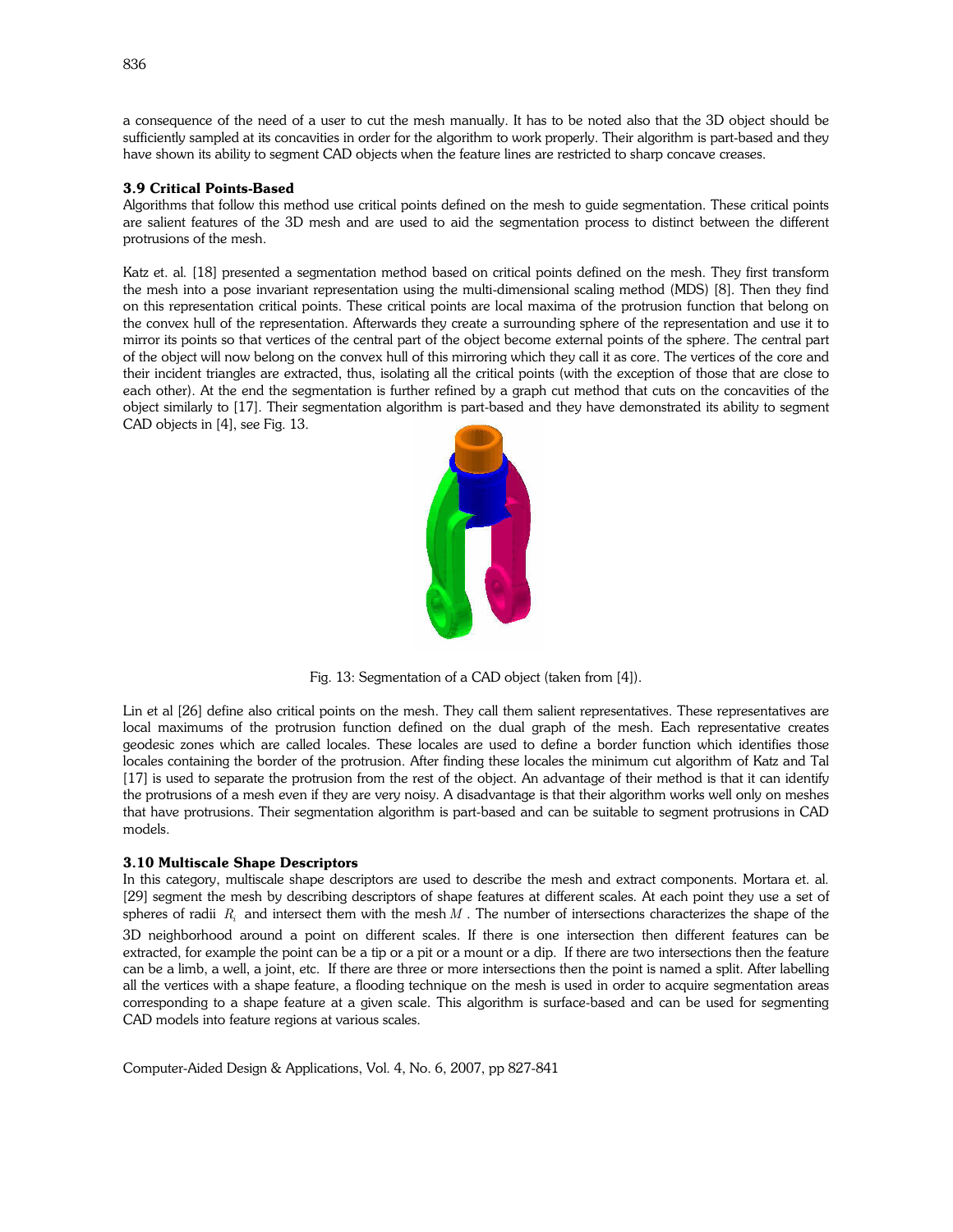a consequence of the need of a user to cut the mesh manually. It has to be noted also that the 3D object should be sufficiently sampled at its concavities in order for the algorithm to work properly. Their algorithm is part-based and they have shown its ability to segment CAD objects when the feature lines are restricted to sharp concave creases.

### 3.9 Critical Points-Based

Algorithms that follow this method use critical points defined on the mesh to guide segmentation. These critical points are salient features of the 3D mesh and are used to aid the segmentation process to distinct between the different protrusions of the mesh.

Katz et. al. [18] presented a segmentation method based on critical points defined on the mesh. They first transform the mesh into a pose invariant representation using the multi-dimensional scaling method (MDS) [8]. Then they find on this representation critical points. These critical points are local maxima of the protrusion function that belong on the convex hull of the representation. Afterwards they create a surrounding sphere of the representation and use it to mirror its points so that vertices of the central part of the object become external points of the sphere. The central part of the object will now belong on the convex hull of this mirroring which they call it as core. The vertices of the core and their incident triangles are extracted, thus, isolating all the critical points (with the exception of those that are close to each other). At the end the segmentation is further refined by a graph cut method that cuts on the concavities of the object similarly to [17]. Their segmentation algorithm is part-based and they have demonstrated its ability to segment CAD objects in [4], see Fig. 13.



Fig. 13: Segmentation of a CAD object (taken from [4]).

Lin et al [26] define also critical points on the mesh. They call them salient representatives. These representatives are local maximums of the protrusion function defined on the dual graph of the mesh. Each representative creates geodesic zones which are called locales. These locales are used to define a border function which identifies those locales containing the border of the protrusion. After finding these locales the minimum cut algorithm of Katz and Tal [17] is used to separate the protrusion from the rest of the object. An advantage of their method is that it can identify the protrusions of a mesh even if they are very noisy. A disadvantage is that their algorithm works well only on meshes that have protrusions. Their segmentation algorithm is part-based and can be suitable to segment protrusions in CAD models.

# 3.10 Multiscale Shape Descriptors

In this category, multiscale shape descriptors are used to describe the mesh and extract components. Mortara et. al. [29] segment the mesh by describing descriptors of shape features at different scales. At each point they use a set of spheres of radii  $R_i$  and intersect them with the mesh  $M$  . The number of intersections characterizes the shape of the

3D neighborhood around a point on different scales. If there is one intersection then different features can be extracted, for example the point can be a tip or a pit or a mount or a dip. If there are two intersections then the feature can be a limb, a well, a joint, etc. If there are three or more intersections then the point is named a split. After labelling all the vertices with a shape feature, a flooding technique on the mesh is used in order to acquire segmentation areas corresponding to a shape feature at a given scale. This algorithm is surface-based and can be used for segmenting CAD models into feature regions at various scales.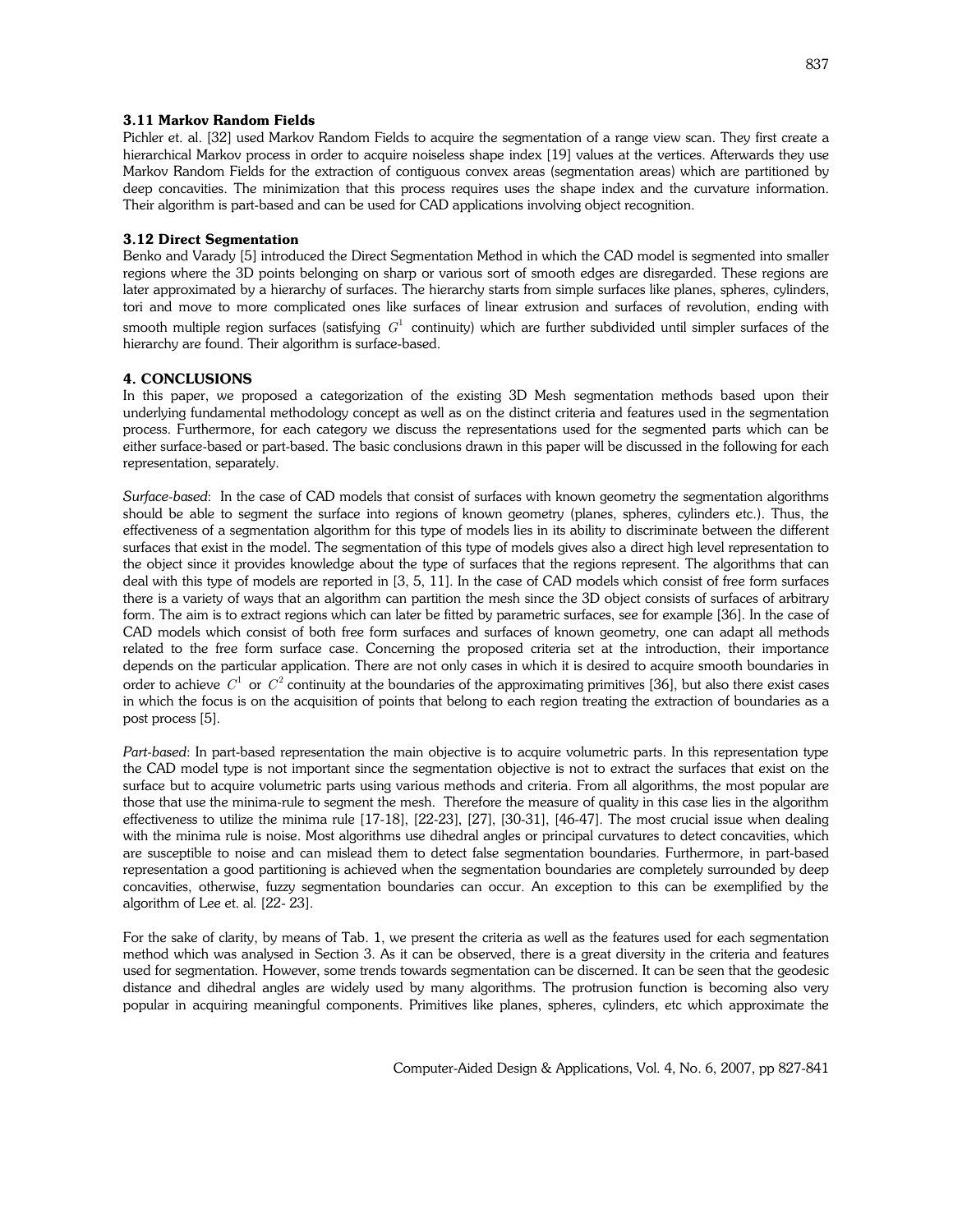### 3.11 Markov Random Fields

Pichler et. al. [32] used Markov Random Fields to acquire the segmentation of a range view scan. They first create a hierarchical Markov process in order to acquire noiseless shape index [19] values at the vertices. Afterwards they use Markov Random Fields for the extraction of contiguous convex areas (segmentation areas) which are partitioned by deep concavities. The minimization that this process requires uses the shape index and the curvature information. Their algorithm is part-based and can be used for CAD applications involving object recognition.

### 3.12 Direct Segmentation

Benko and Varady [5] introduced the Direct Segmentation Method in which the CAD model is segmented into smaller regions where the 3D points belonging on sharp or various sort of smooth edges are disregarded. These regions are later approximated by a hierarchy of surfaces. The hierarchy starts from simple surfaces like planes, spheres, cylinders, tori and move to more complicated ones like surfaces of linear extrusion and surfaces of revolution, ending with smooth multiple region surfaces (satisfying  $G<sup>1</sup>$  continuity) which are further subdivided until simpler surfaces of the hierarchy are found. Their algorithm is surface-based.

# 4. CONCLUSIONS

In this paper, we proposed a categorization of the existing 3D Mesh segmentation methods based upon their underlying fundamental methodology concept as well as on the distinct criteria and features used in the segmentation process. Furthermore, for each category we discuss the representations used for the segmented parts which can be either surface-based or part-based. The basic conclusions drawn in this paper will be discussed in the following for each representation, separately.

Surface-based: In the case of CAD models that consist of surfaces with known geometry the segmentation algorithms should be able to segment the surface into regions of known geometry (planes, spheres, cylinders etc.). Thus, the effectiveness of a segmentation algorithm for this type of models lies in its ability to discriminate between the different surfaces that exist in the model. The segmentation of this type of models gives also a direct high level representation to the object since it provides knowledge about the type of surfaces that the regions represent. The algorithms that can deal with this type of models are reported in [3, 5, 11]. In the case of CAD models which consist of free form surfaces there is a variety of ways that an algorithm can partition the mesh since the 3D object consists of surfaces of arbitrary form. The aim is to extract regions which can later be fitted by parametric surfaces, see for example [36]. In the case of CAD models which consist of both free form surfaces and surfaces of known geometry, one can adapt all methods related to the free form surface case. Concerning the proposed criteria set at the introduction, their importance depends on the particular application. There are not only cases in which it is desired to acquire smooth boundaries in order to achieve  $C^1$  or  $C^2$  continuity at the boundaries of the approximating primitives [36], but also there exist cases in which the focus is on the acquisition of points that belong to each region treating the extraction of boundaries as a post process [5].

Part-based: In part-based representation the main objective is to acquire volumetric parts. In this representation type the CAD model type is not important since the segmentation objective is not to extract the surfaces that exist on the surface but to acquire volumetric parts using various methods and criteria. From all algorithms, the most popular are those that use the minima-rule to segment the mesh. Therefore the measure of quality in this case lies in the algorithm effectiveness to utilize the minima rule [17-18], [22-23], [27], [30-31], [46-47]. The most crucial issue when dealing with the minima rule is noise. Most algorithms use dihedral angles or principal curvatures to detect concavities, which are susceptible to noise and can mislead them to detect false segmentation boundaries. Furthermore, in part-based representation a good partitioning is achieved when the segmentation boundaries are completely surrounded by deep concavities, otherwise, fuzzy segmentation boundaries can occur. An exception to this can be exemplified by the algorithm of Lee et. al. [22- 23].

For the sake of clarity, by means of Tab. 1, we present the criteria as well as the features used for each segmentation method which was analysed in Section 3. As it can be observed, there is a great diversity in the criteria and features used for segmentation. However, some trends towards segmentation can be discerned. It can be seen that the geodesic distance and dihedral angles are widely used by many algorithms. The protrusion function is becoming also very popular in acquiring meaningful components. Primitives like planes, spheres, cylinders, etc which approximate the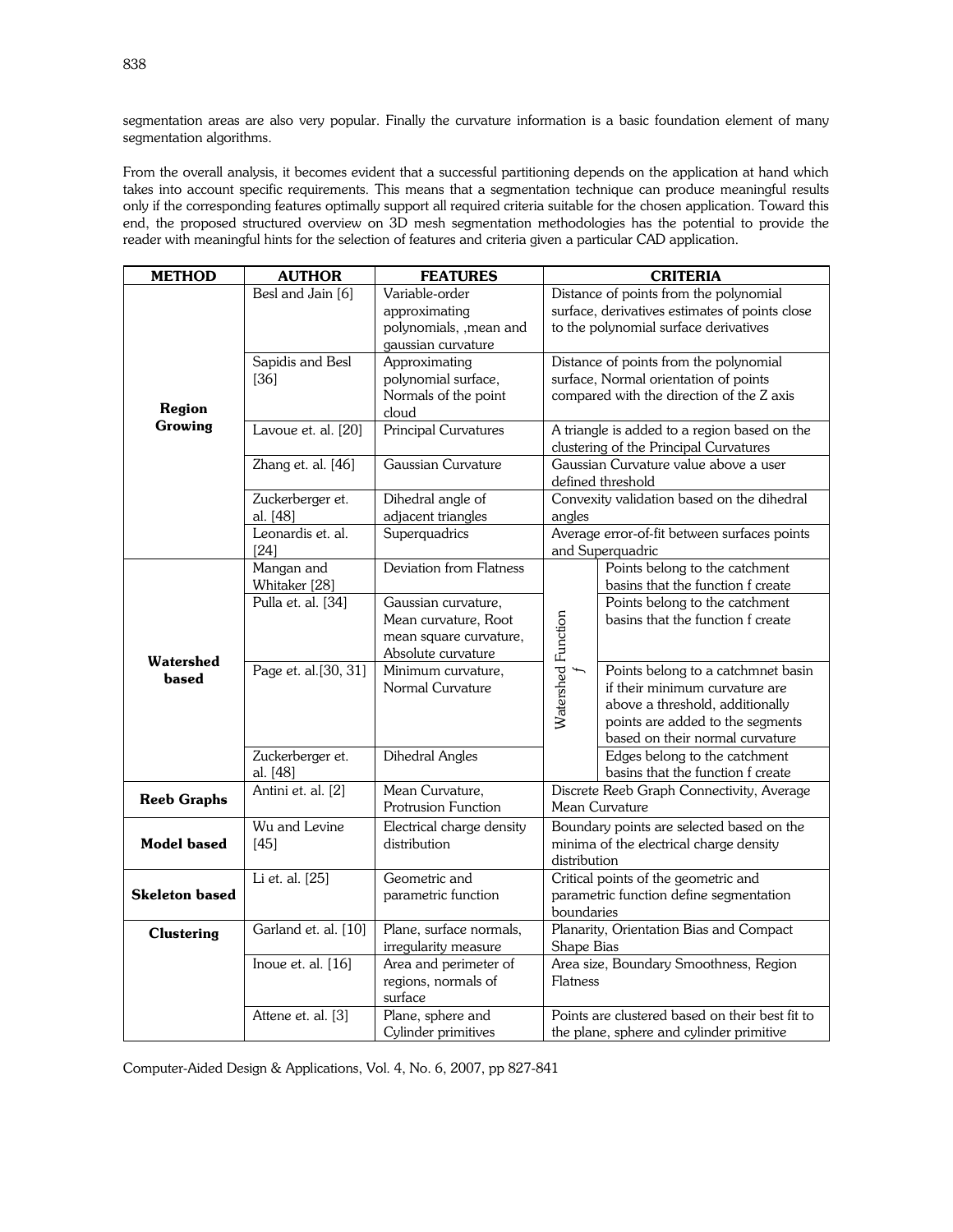segmentation areas are also very popular. Finally the curvature information is a basic foundation element of many segmentation algorithms.

From the overall analysis, it becomes evident that a successful partitioning depends on the application at hand which takes into account specific requirements. This means that a segmentation technique can produce meaningful results only if the corresponding features optimally support all required criteria suitable for the chosen application. Toward this end, the proposed structured overview on 3D mesh segmentation methodologies has the potential to provide the reader with meaningful hints for the selection of features and criteria given a particular CAD application.

| <b>METHOD</b>         | <b>AUTHOR</b>        | <b>FEATURES</b>                | <b>CRITERIA</b>                                 |
|-----------------------|----------------------|--------------------------------|-------------------------------------------------|
|                       | Besl and Jain [6]    | Variable-order                 | Distance of points from the polynomial          |
|                       |                      | approximating                  | surface, derivatives estimates of points close  |
|                       |                      | polynomials, , mean and        | to the polynomial surface derivatives           |
|                       |                      | gaussian curvature             |                                                 |
|                       | Sapidis and Besl     | Approximating                  | Distance of points from the polynomial          |
|                       | [36]                 | polynomial surface,            | surface, Normal orientation of points           |
|                       |                      | Normals of the point           | compared with the direction of the Z axis       |
| <b>Region</b>         |                      | cloud                          |                                                 |
| Growing               | Lavoue et. al. [20]  | <b>Principal Curvatures</b>    | A triangle is added to a region based on the    |
|                       |                      |                                | clustering of the Principal Curvatures          |
|                       | Zhang et. al. [46]   | Gaussian Curvature             | Gaussian Curvature value above a user           |
|                       |                      |                                | defined threshold                               |
|                       | Zuckerberger et.     | Dihedral angle of              | Convexity validation based on the dihedral      |
|                       | al. [48]             | adjacent triangles             | angles                                          |
|                       | Leonardis et. al.    | Superquadrics                  | Average error-of-fit between surfaces points    |
|                       | [24]                 |                                | and Superquadric                                |
|                       | Mangan and           | <b>Deviation from Flatness</b> | Points belong to the catchment                  |
|                       | Whitaker [28]        |                                | basins that the function f create               |
|                       | Pulla et. al. [34]   | Gaussian curvature,            | Points belong to the catchment                  |
|                       |                      | Mean curvature, Root           | basins that the function f create               |
|                       |                      | mean square curvature,         |                                                 |
| <b>Watershed</b>      |                      | Absolute curvature             | Watershed Function                              |
| based                 | Page et. al.[30, 31] | Minimum curvature,             | Points belong to a catchmnet basin              |
|                       |                      | Normal Curvature               | if their minimum curvature are                  |
|                       |                      |                                | above a threshold, additionally                 |
|                       |                      |                                | points are added to the segments                |
|                       |                      |                                | based on their normal curvature                 |
|                       | Zuckerberger et.     | <b>Dihedral Angles</b>         | Edges belong to the catchment                   |
|                       | al. [48]             |                                | basins that the function f create               |
| <b>Reeb Graphs</b>    | Antini et. al. [2]   | Mean Curvature,                | Discrete Reeb Graph Connectivity, Average       |
|                       |                      | <b>Protrusion Function</b>     | Mean Curvature                                  |
|                       | Wu and Levine        | Electrical charge density      | Boundary points are selected based on the       |
| <b>Model based</b>    | $[45]$               | distribution                   | minima of the electrical charge density         |
|                       |                      |                                | distribution                                    |
|                       | Li et. al. [25]      | Geometric and                  | Critical points of the geometric and            |
| <b>Skeleton based</b> |                      | parametric function            | parametric function define segmentation         |
|                       |                      |                                | boundaries                                      |
| <b>Clustering</b>     | Garland et. al. [10] | Plane, surface normals,        | Planarity, Orientation Bias and Compact         |
|                       |                      | irregularity measure           | Shape Bias                                      |
|                       | Inoue et. al. [16]   | Area and perimeter of          | Area size, Boundary Smoothness, Region          |
|                       |                      | regions, normals of            | Flatness                                        |
|                       |                      | surface                        |                                                 |
|                       | Attene et. al. [3]   | Plane, sphere and              | Points are clustered based on their best fit to |
|                       |                      | Cylinder primitives            | the plane, sphere and cylinder primitive        |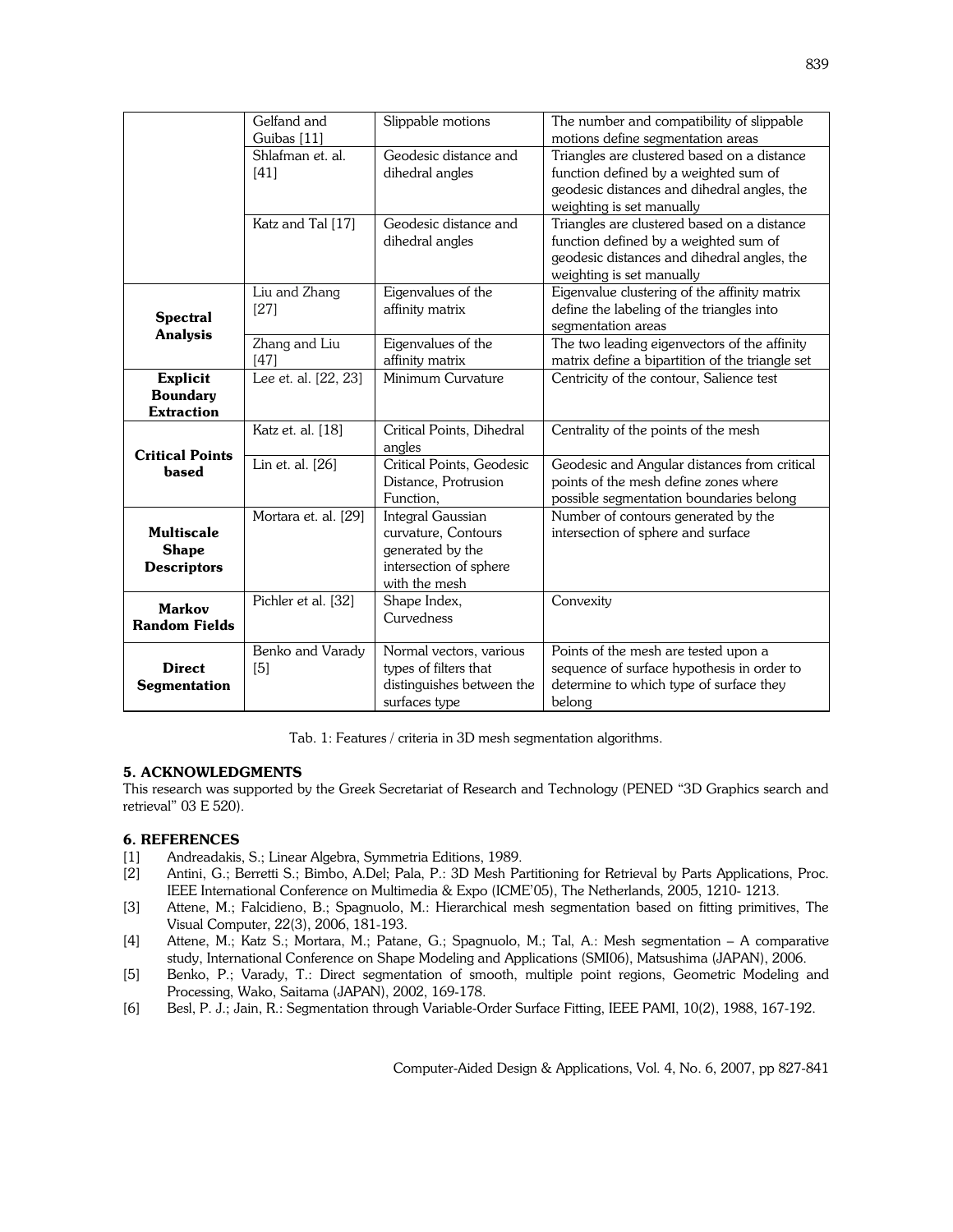|                                                         | Gelfand and<br>Guibas [11] | Slippable motions                                                                                              | The number and compatibility of slippable<br>motions define segmentation areas                                                                                   |
|---------------------------------------------------------|----------------------------|----------------------------------------------------------------------------------------------------------------|------------------------------------------------------------------------------------------------------------------------------------------------------------------|
|                                                         | Shlafman et. al.<br>$[41]$ | Geodesic distance and<br>dihedral angles                                                                       | Triangles are clustered based on a distance<br>function defined by a weighted sum of<br>geodesic distances and dihedral angles, the<br>weighting is set manually |
|                                                         | Katz and Tal [17]          | Geodesic distance and<br>dihedral angles                                                                       | Triangles are clustered based on a distance<br>function defined by a weighted sum of<br>geodesic distances and dihedral angles, the<br>weighting is set manually |
| <b>Spectral</b><br><b>Analysis</b>                      | Liu and Zhang<br>$[27]$    | Eigenvalues of the<br>affinity matrix                                                                          | Eigenvalue clustering of the affinity matrix<br>define the labeling of the triangles into<br>segmentation areas                                                  |
|                                                         | Zhang and Liu<br>[47]      | Eigenvalues of the<br>affinity matrix                                                                          | The two leading eigenvectors of the affinity<br>matrix define a bipartition of the triangle set                                                                  |
| <b>Explicit</b><br><b>Boundary</b><br><b>Extraction</b> | Lee et. al. [22, 23]       | Minimum Curvature                                                                                              | Centricity of the contour, Salience test                                                                                                                         |
| <b>Critical Points</b><br>based                         | Katz et. al. [18]          | Critical Points, Dihedral<br>angles                                                                            | Centrality of the points of the mesh                                                                                                                             |
|                                                         | Lin et. al. [26]           | Critical Points, Geodesic<br>Distance, Protrusion<br>Function,                                                 | Geodesic and Angular distances from critical<br>points of the mesh define zones where<br>possible segmentation boundaries belong                                 |
| <b>Multiscale</b><br><b>Shape</b><br><b>Descriptors</b> | Mortara et. al. [29]       | <b>Integral Gaussian</b><br>curvature, Contours<br>generated by the<br>intersection of sphere<br>with the mesh | Number of contours generated by the<br>intersection of sphere and surface                                                                                        |
| <b>Markov</b><br><b>Random Fields</b>                   | Pichler et al. [32]        | Shape Index,<br>Curvedness                                                                                     | Convexity                                                                                                                                                        |
| <b>Direct</b><br><b>Segmentation</b>                    | Benko and Varady<br>[5]    | Normal vectors, various<br>types of filters that<br>distinguishes between the<br>surfaces type                 | Points of the mesh are tested upon a<br>sequence of surface hypothesis in order to<br>determine to which type of surface they<br>belong                          |

Tab. 1: Features / criteria in 3D mesh segmentation algorithms.

# 5. ACKNOWLEDGMENTS

This research was supported by the Greek Secretariat of Research and Technology (PENED "3D Graphics search and retrieval" 03 E 520).

# 6. REFERENCES

- [1] Andreadakis, S.; Linear Algebra, Symmetria Editions, 1989.
- [2] Antini, G.; Berretti S.; Bimbo, A.Del; Pala, P.: 3D Mesh Partitioning for Retrieval by Parts Applications, Proc. IEEE International Conference on Multimedia & Expo (ICME'05), The Netherlands, 2005, 1210- 1213.
- [3] Attene, M.; Falcidieno, B.; Spagnuolo, M.: Hierarchical mesh segmentation based on fitting primitives, The Visual Computer, 22(3), 2006, 181-193.
- [4] Attene, M.; Katz S.; Mortara, M.; Patane, G.; Spagnuolo, M.; Tal, A.: Mesh segmentation A comparative study, International Conference on Shape Modeling and Applications (SMI06), Matsushima (JAPAN), 2006.
- [5] Benko, P.; Varady, T.: Direct segmentation of smooth, multiple point regions, Geometric Modeling and Processing, Wako, Saitama (JAPAN), 2002, 169-178.
- [6] Besl, P. J.; Jain, R.: Segmentation through Variable-Order Surface Fitting, IEEE PAMI, 10(2), 1988, 167-192.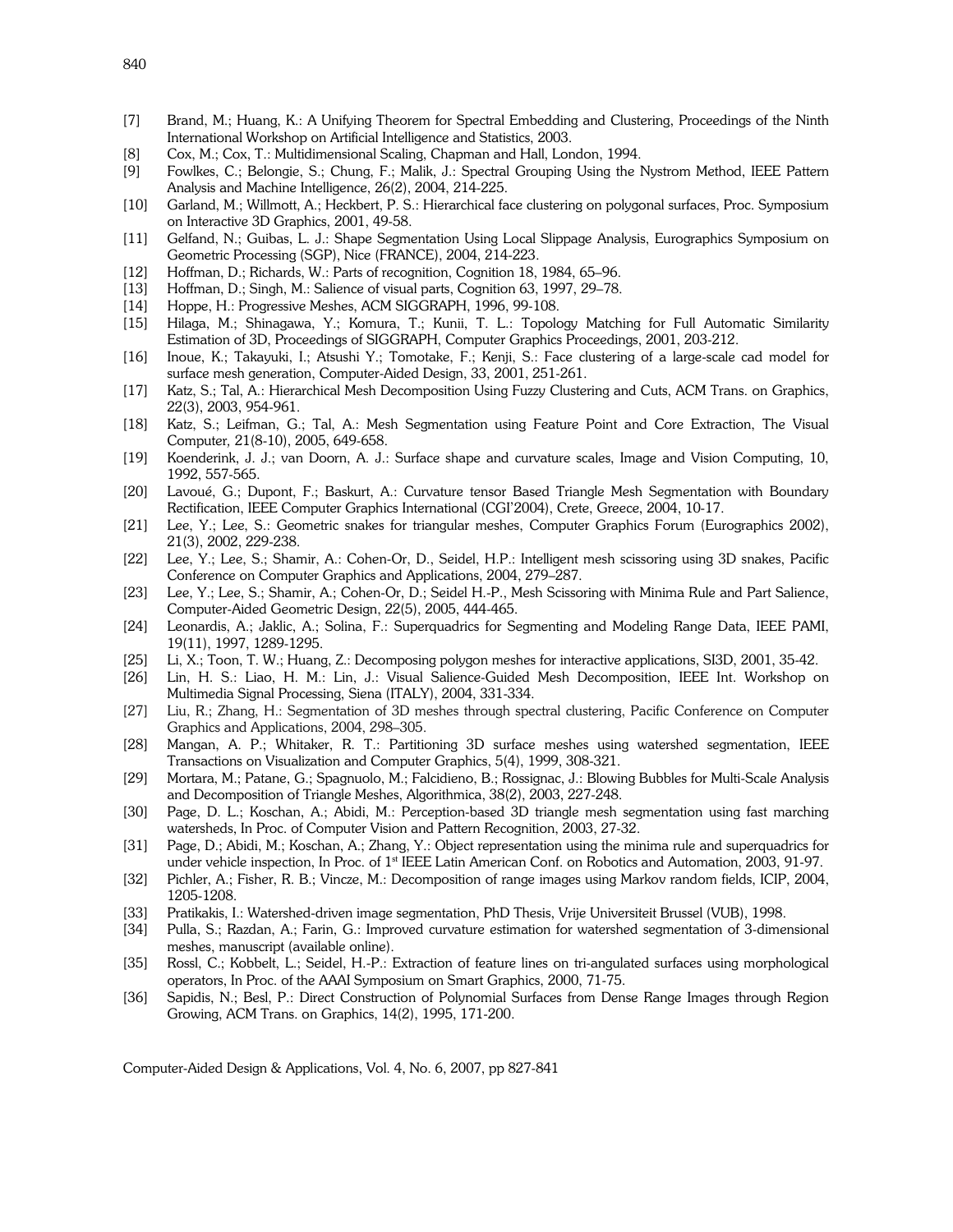- [7] Brand, M.; Huang, K.: A Unifying Theorem for Spectral Embedding and Clustering, Proceedings of the Ninth International Workshop on Artificial Intelligence and Statistics, 2003.
- [8] Cox, M.; Cox, T.: Multidimensional Scaling, Chapman and Hall, London, 1994.
- [9] Fowlkes, C.; Belongie, S.; Chung, F.; Malik, J.: Spectral Grouping Using the Nystrom Method, IEEE Pattern Analysis and Machine Intelligence, 26(2), 2004, 214-225.
- [10] Garland, M.; Willmott, A.; Heckbert, P. S.: Hierarchical face clustering on polygonal surfaces, Proc. Symposium on Interactive 3D Graphics, 2001, 49-58.
- [11] Gelfand, N.; Guibas, L. J.: Shape Segmentation Using Local Slippage Analysis, Eurographics Symposium on Geometric Processing (SGP), Nice (FRANCE), 2004, 214-223.
- [12] Hoffman, D.; Richards, W.: Parts of recognition, Cognition 18, 1984, 65-96.
- [13] Hoffman, D.; Singh, M.: Salience of visual parts, Cognition 63, 1997, 29–78.
- [14] Hoppe, H.: Progressive Meshes, ACM SIGGRAPH, 1996, 99-108.
- [15] Hilaga, M.; Shinagawa, Y.; Komura, T.; Kunii, T. L.: Topology Matching for Full Automatic Similarity Estimation of 3D, Proceedings of SIGGRAPH, Computer Graphics Proceedings, 2001, 203-212.
- [16] Inoue, K.; Takayuki, I.; Atsushi Y.; Tomotake, F.; Kenji, S.: Face clustering of a large-scale cad model for surface mesh generation, Computer-Aided Design, 33, 2001, 251-261.
- [17] Katz, S.; Tal, A.: Hierarchical Mesh Decomposition Using Fuzzy Clustering and Cuts, ACM Trans. on Graphics, 22(3), 2003, 954-961.
- [18] Katz, S.; Leifman, G.; Tal, A.: Mesh Segmentation using Feature Point and Core Extraction, The Visual Computer, 21(8-10), 2005, 649-658.
- [19] Koenderink, J. J.; van Doorn, A. J.: Surface shape and curvature scales, Image and Vision Computing, 10, 1992, 557-565.
- [20] Lavoué, G.; Dupont, F.; Baskurt, A.: Curvature tensor Based Triangle Mesh Segmentation with Boundary Rectification, IEEE Computer Graphics International (CGI'2004), Crete, Greece, 2004, 10-17.
- [21] Lee, Y.; Lee, S.: Geometric snakes for triangular meshes, Computer Graphics Forum (Eurographics 2002), 21(3), 2002, 229-238.
- [22] Lee, Y.; Lee, S.; Shamir, A.: Cohen-Or, D., Seidel, H.P.: Intelligent mesh scissoring using 3D snakes, Pacific Conference on Computer Graphics and Applications, 2004, 279–287.
- [23] Lee, Y.; Lee, S.; Shamir, A.; Cohen-Or, D.; Seidel H.-P., Mesh Scissoring with Minima Rule and Part Salience, Computer-Aided Geometric Design, 22(5), 2005, 444-465.
- [24] Leonardis, A.; Jaklic, A.; Solina, F.: Superquadrics for Segmenting and Modeling Range Data, IEEE PAMI, 19(11), 1997, 1289-1295.
- [25] Li, X.; Toon, T. W.; Huang, Z.: Decomposing polygon meshes for interactive applications, SI3D, 2001, 35-42.
- [26] Lin, H. S.: Liao, H. M.: Lin, J.: Visual Salience-Guided Mesh Decomposition, IEEE Int. Workshop on Multimedia Signal Processing, Siena (ITALY), 2004, 331-334.
- [27] Liu, R.; Zhang, H.: Segmentation of 3D meshes through spectral clustering, Pacific Conference on Computer Graphics and Applications, 2004, 298–305.
- [28] Mangan, A. P.; Whitaker, R. T.: Partitioning 3D surface meshes using watershed segmentation, IEEE Transactions on Visualization and Computer Graphics, 5(4), 1999, 308-321.
- [29] Mortara, M.; Patane, G.; Spagnuolo, M.; Falcidieno, B.; Rossignac, J.: Blowing Bubbles for Multi-Scale Analysis and Decomposition of Triangle Meshes, Algorithmica, 38(2), 2003, 227-248.
- [30] Page, D. L.; Koschan, A.; Abidi, M.: Perception-based 3D triangle mesh segmentation using fast marching watersheds, In Proc. of Computer Vision and Pattern Recognition, 2003, 27-32.
- [31] Page, D.; Abidi, M.; Koschan, A.; Zhang, Y.: Object representation using the minima rule and superquadrics for under vehicle inspection, In Proc. of 1<sup>st</sup> IEEE Latin American Conf. on Robotics and Automation, 2003, 91-97.
- [32] Pichler, A.; Fisher, R. B.; Vincze, M.: Decomposition of range images using Markov random fields, ICIP, 2004, 1205-1208.
- [33] Pratikakis, I.: Watershed-driven image segmentation, PhD Thesis, Vrije Universiteit Brussel (VUB), 1998.
- [34] Pulla, S.; Razdan, A.; Farin, G.: Improved curvature estimation for watershed segmentation of 3-dimensional meshes, manuscript (available online).
- [35] Rossl, C.; Kobbelt, L.; Seidel, H.-P.: Extraction of feature lines on tri-angulated surfaces using morphological operators, In Proc. of the AAAI Symposium on Smart Graphics, 2000, 71-75.
- [36] Sapidis, N.; Besl, P.: Direct Construction of Polynomial Surfaces from Dense Range Images through Region Growing, ACM Trans. on Graphics, 14(2), 1995, 171-200.